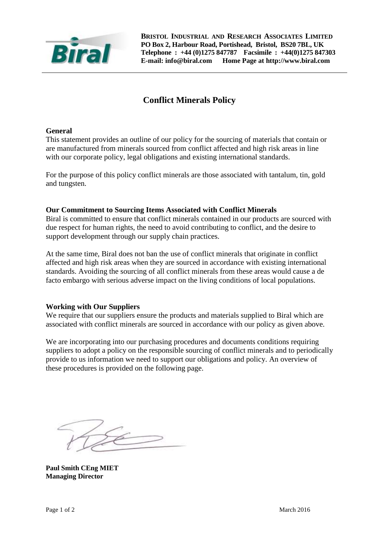

**BRISTOL INDUSTRIAL AND RESEARCH ASSOCIATES LIMITED PO Box 2, Harbour Road, Portishead, Bristol, BS20 7BL, UK Telephone : +44 (0)1275 847787 Facsimile : +44(0)1275 847303 E-mail: info@biral.com Home Page at http://www.biral.com**

# **Conflict Minerals Policy**

### **General**

This statement provides an outline of our policy for the sourcing of materials that contain or are manufactured from minerals sourced from conflict affected and high risk areas in line with our corporate policy, legal obligations and existing international standards.

For the purpose of this policy conflict minerals are those associated with tantalum, tin, gold and tungsten.

#### **Our Commitment to Sourcing Items Associated with Conflict Minerals**

Biral is committed to ensure that conflict minerals contained in our products are sourced with due respect for human rights, the need to avoid contributing to conflict, and the desire to support development through our supply chain practices.

At the same time, Biral does not ban the use of conflict minerals that originate in conflict affected and high risk areas when they are sourced in accordance with existing international standards. Avoiding the sourcing of all conflict minerals from these areas would cause a de facto embargo with serious adverse impact on the living conditions of local populations.

#### **Working with Our Suppliers**

We require that our suppliers ensure the products and materials supplied to Biral which are associated with conflict minerals are sourced in accordance with our policy as given above.

We are incorporating into our purchasing procedures and documents conditions requiring suppliers to adopt a policy on the responsible sourcing of conflict minerals and to periodically provide to us information we need to support our obligations and policy. An overview of these procedures is provided on the following page.

**Paul Smith CEng MIET Managing Director**